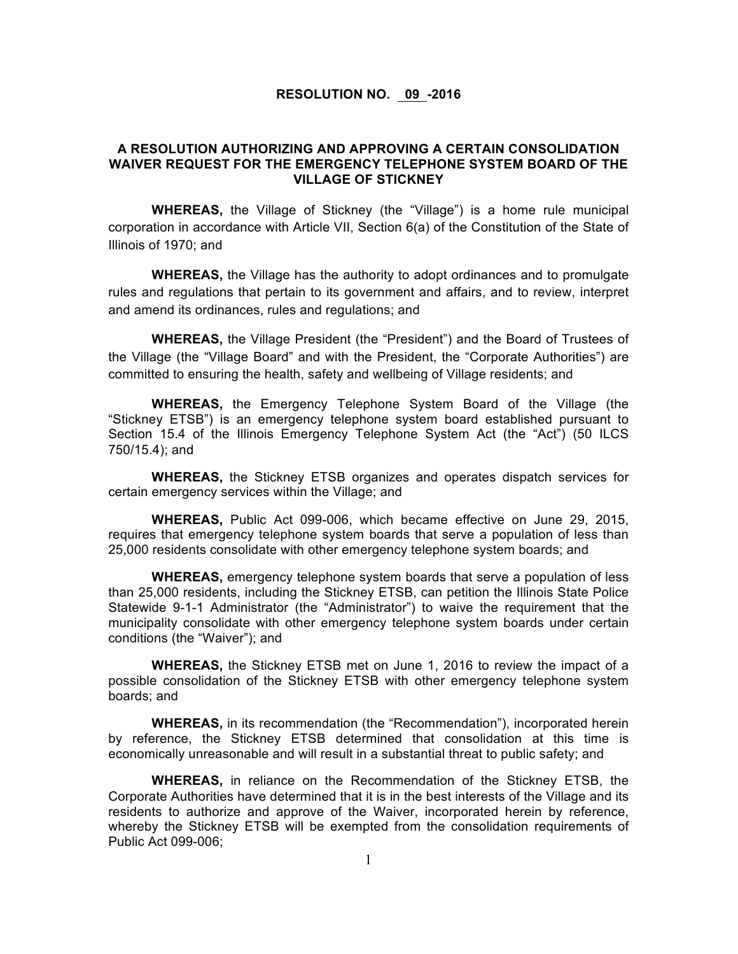## **RESOLUTION NO. 09 -2016**

## **A RESOLUTION AUTHORIZING AND APPROVING A CERTAIN CONSOLIDATION WAIVER REQUEST FOR THE EMERGENCY TELEPHONE SYSTEM BOARD OF THE VILLAGE OF STICKNEY**

**WHEREAS,** the Village of Stickney (the "Village") is a home rule municipal corporation in accordance with Article VII, Section 6(a) of the Constitution of the State of Illinois of 1970; and

**WHEREAS,** the Village has the authority to adopt ordinances and to promulgate rules and regulations that pertain to its government and affairs, and to review, interpret and amend its ordinances, rules and regulations; and

**WHEREAS,** the Village President (the "President") and the Board of Trustees of the Village (the "Village Board" and with the President, the "Corporate Authorities") are committed to ensuring the health, safety and wellbeing of Village residents; and

**WHEREAS,** the Emergency Telephone System Board of the Village (the "Stickney ETSB") is an emergency telephone system board established pursuant to Section 15.4 of the Illinois Emergency Telephone System Act (the "Act") (50 ILCS 750/15.4); and

**WHEREAS,** the Stickney ETSB organizes and operates dispatch services for certain emergency services within the Village; and

**WHEREAS,** Public Act 099-006, which became effective on June 29, 2015, requires that emergency telephone system boards that serve a population of less than 25,000 residents consolidate with other emergency telephone system boards; and

**WHEREAS,** emergency telephone system boards that serve a population of less than 25,000 residents, including the Stickney ETSB, can petition the Illinois State Police Statewide 9-1-1 Administrator (the "Administrator") to waive the requirement that the municipality consolidate with other emergency telephone system boards under certain conditions (the "Waiver"); and

**WHEREAS,** the Stickney ETSB met on June 1, 2016 to review the impact of a possible consolidation of the Stickney ETSB with other emergency telephone system boards; and

**WHEREAS,** in its recommendation (the "Recommendation"), incorporated herein by reference, the Stickney ETSB determined that consolidation at this time is economically unreasonable and will result in a substantial threat to public safety; and

**WHEREAS,** in reliance on the Recommendation of the Stickney ETSB, the Corporate Authorities have determined that it is in the best interests of the Village and its residents to authorize and approve of the Waiver, incorporated herein by reference, whereby the Stickney ETSB will be exempted from the consolidation requirements of Public Act 099-006;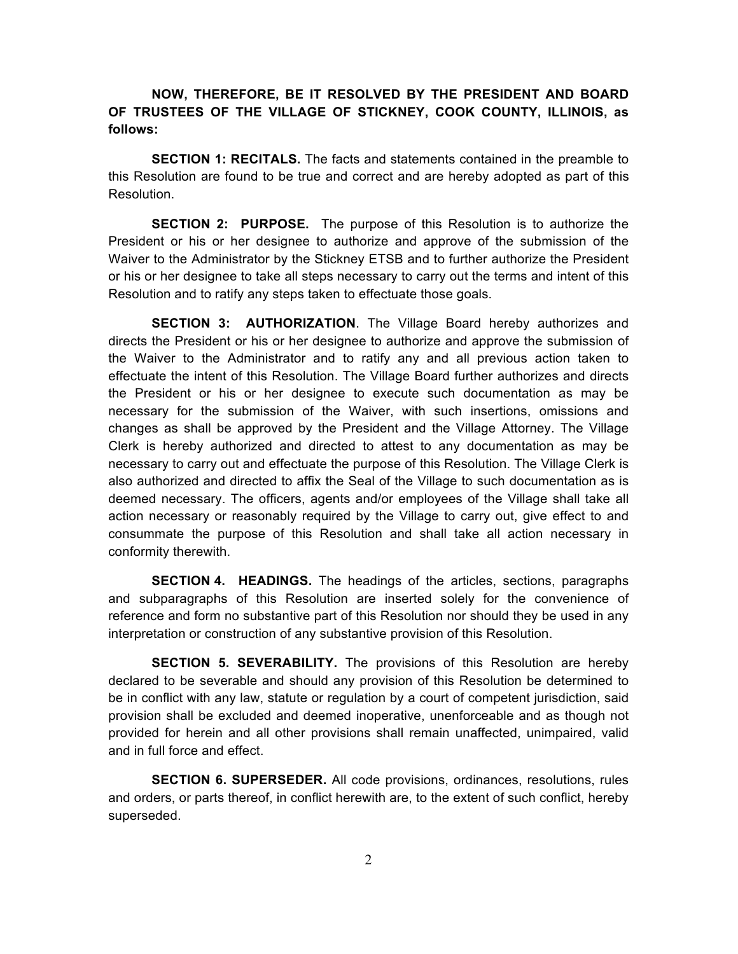## **NOW, THEREFORE, BE IT RESOLVED BY THE PRESIDENT AND BOARD OF TRUSTEES OF THE VILLAGE OF STICKNEY, COOK COUNTY, ILLINOIS, as follows:**

**SECTION 1: RECITALS.** The facts and statements contained in the preamble to this Resolution are found to be true and correct and are hereby adopted as part of this Resolution.

**SECTION 2: PURPOSE.** The purpose of this Resolution is to authorize the President or his or her designee to authorize and approve of the submission of the Waiver to the Administrator by the Stickney ETSB and to further authorize the President or his or her designee to take all steps necessary to carry out the terms and intent of this Resolution and to ratify any steps taken to effectuate those goals.

**SECTION 3: AUTHORIZATION**. The Village Board hereby authorizes and directs the President or his or her designee to authorize and approve the submission of the Waiver to the Administrator and to ratify any and all previous action taken to effectuate the intent of this Resolution. The Village Board further authorizes and directs the President or his or her designee to execute such documentation as may be necessary for the submission of the Waiver, with such insertions, omissions and changes as shall be approved by the President and the Village Attorney. The Village Clerk is hereby authorized and directed to attest to any documentation as may be necessary to carry out and effectuate the purpose of this Resolution. The Village Clerk is also authorized and directed to affix the Seal of the Village to such documentation as is deemed necessary. The officers, agents and/or employees of the Village shall take all action necessary or reasonably required by the Village to carry out, give effect to and consummate the purpose of this Resolution and shall take all action necessary in conformity therewith.

**SECTION 4. HEADINGS.** The headings of the articles, sections, paragraphs and subparagraphs of this Resolution are inserted solely for the convenience of reference and form no substantive part of this Resolution nor should they be used in any interpretation or construction of any substantive provision of this Resolution.

**SECTION 5. SEVERABILITY.** The provisions of this Resolution are hereby declared to be severable and should any provision of this Resolution be determined to be in conflict with any law, statute or regulation by a court of competent jurisdiction, said provision shall be excluded and deemed inoperative, unenforceable and as though not provided for herein and all other provisions shall remain unaffected, unimpaired, valid and in full force and effect.

**SECTION 6. SUPERSEDER.** All code provisions, ordinances, resolutions, rules and orders, or parts thereof, in conflict herewith are, to the extent of such conflict, hereby superseded.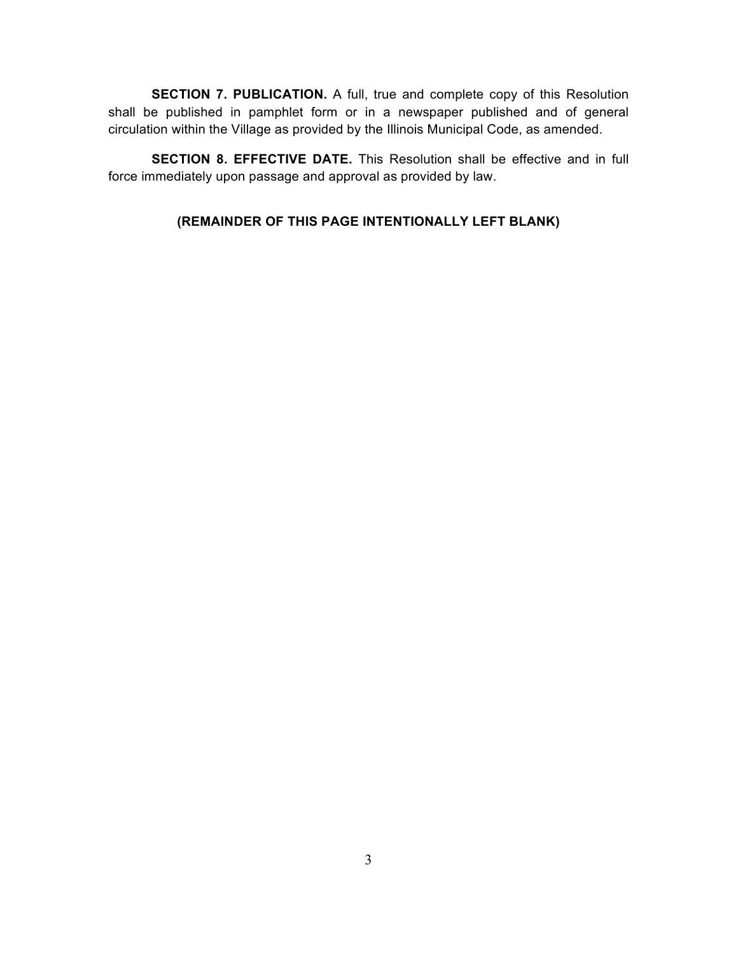**SECTION 7. PUBLICATION.** A full, true and complete copy of this Resolution shall be published in pamphlet form or in a newspaper published and of general circulation within the Village as provided by the Illinois Municipal Code, as amended.

**SECTION 8. EFFECTIVE DATE.** This Resolution shall be effective and in full force immediately upon passage and approval as provided by law.

## **(REMAINDER OF THIS PAGE INTENTIONALLY LEFT BLANK)**